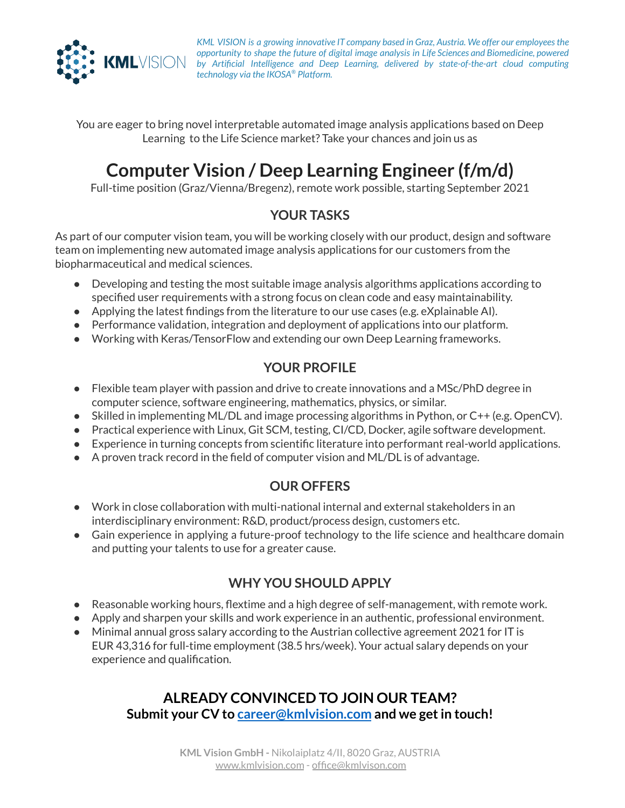

*KML VISION is a growing innovative IT company based in Graz, Austria. We offer our employeesthe opportunity to shape the future of digital image analysis in Life Sciences and Biomedicine, powered by Artificial Intelligence and Deep Learning, delivered by state-of-the-art cloud computing technology via the IKOSA ® Platform.*

You are eager to bring novel interpretable automated image analysis applications based on Deep Learning to the Life Science market? Take your chances and join us as

# **Computer Vision / Deep Learning Engineer (f/m/d)**

Full-time position (Graz/Vienna/Bregenz), remote work possible, starting September 2021

#### **YOUR TASKS**

As part of our computer vision team, you will be working closely with our product, design and software team on implementing new automated image analysis applications for our customers from the biopharmaceutical and medical sciences.

- Developing and testing the most suitable image analysis algorithms applications according to specified user requirements with a strong focus on clean code and easy maintainability.
- Applying the latest findings from the literature to our use cases (e.g. eXplainable AI).
- Performance validation, integration and deployment of applications into our platform.
- Working with Keras/TensorFlow and extending our own Deep Learning frameworks.

### **YOUR PROFILE**

- Flexible team player with passion and drive to create innovations and a MSc/PhD degree in computer science, software engineering, mathematics, physics, or similar.
- Skilled in implementing ML/DL and image processing algorithms in Python, or C++ (e.g. OpenCV).
- Practical experience with Linux, Git SCM, testing, CI/CD, Docker, agile software development.
- Experience in turning concepts from scientific literature into performant real-world applications.
- $\bullet$  A proven track record in the field of computer vision and ML/DL is of advantage.

### **OUR OFFERS**

- Work in close collaboration with multi-national internal and external stakeholders in an interdisciplinary environment: R&D, product/process design, customers etc.
- Gain experience in applying a future-proof technology to the life science and healthcare domain and putting your talents to use for a greater cause.

### **WHY YOU SHOULD APPLY**

- Reasonable working hours, flextime and a high degree of self-management, with remote work.
- Apply and sharpen your skills and work experience in an authentic, professional environment.
- Minimal annual gross salary according to the Austrian collective agreement 2021 for IT is EUR 43,316 for full-time employment (38.5 hrs/week). Your actual salary depends on your experience and qualification.

## **ALREADY CONVINCED TO JOIN OUR TEAM? Submit your CV to [career@kmlvision.com](mailto:career@kmlvision.com) and we getin touch!**